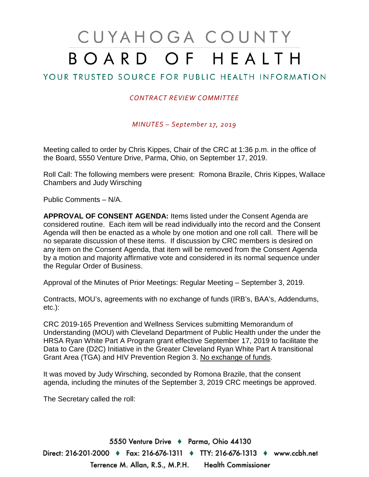# CUYAHOGA COUNTY BOARD OF HEALTH

## YOUR TRUSTED SOURCE FOR PUBLIC HEALTH INFORMATION

#### *CONTRACT REVIEW COMMITTEE*

*MINUTES – September 17, 2019*

Meeting called to order by Chris Kippes, Chair of the CRC at 1:36 p.m. in the office of the Board, 5550 Venture Drive, Parma, Ohio, on September 17, 2019.

Roll Call: The following members were present: Romona Brazile, Chris Kippes, Wallace Chambers and Judy Wirsching

Public Comments – N/A.

**APPROVAL OF CONSENT AGENDA:** Items listed under the Consent Agenda are considered routine. Each item will be read individually into the record and the Consent Agenda will then be enacted as a whole by one motion and one roll call. There will be no separate discussion of these items. If discussion by CRC members is desired on any item on the Consent Agenda, that item will be removed from the Consent Agenda by a motion and majority affirmative vote and considered in its normal sequence under the Regular Order of Business.

Approval of the Minutes of Prior Meetings: Regular Meeting – September 3, 2019.

Contracts, MOU's, agreements with no exchange of funds (IRB's, BAA's, Addendums, etc.):

CRC 2019-165 Prevention and Wellness Services submitting Memorandum of Understanding (MOU) with Cleveland Department of Public Health under the under the HRSA Ryan White Part A Program grant effective September 17, 2019 to facilitate the Data to Care (D2C) Initiative in the Greater Cleveland Ryan White Part A transitional Grant Area (TGA) and HIV Prevention Region 3. No exchange of funds.

It was moved by Judy Wirsching, seconded by Romona Brazile, that the consent agenda, including the minutes of the September 3, 2019 CRC meetings be approved.

The Secretary called the roll: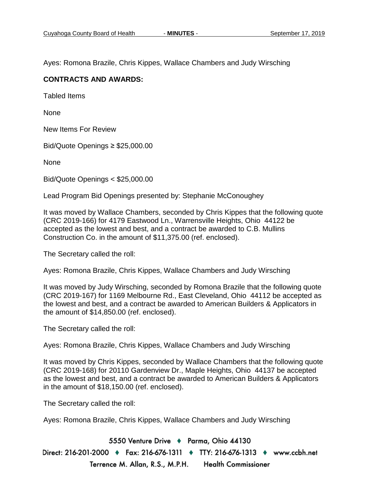Ayes: Romona Brazile, Chris Kippes, Wallace Chambers and Judy Wirsching

#### **CONTRACTS AND AWARDS:**

Tabled Items

None

New Items For Review

Bid/Quote Openings ≥ \$25,000.00

None

Bid/Quote Openings < \$25,000.00

Lead Program Bid Openings presented by: Stephanie McConoughey

It was moved by Wallace Chambers, seconded by Chris Kippes that the following quote (CRC 2019-166) for 4179 Eastwood Ln., Warrensville Heights, Ohio 44122 be accepted as the lowest and best, and a contract be awarded to C.B. Mullins Construction Co. in the amount of \$11,375.00 (ref. enclosed).

The Secretary called the roll:

Ayes: Romona Brazile, Chris Kippes, Wallace Chambers and Judy Wirsching

It was moved by Judy Wirsching, seconded by Romona Brazile that the following quote (CRC 2019-167) for 1169 Melbourne Rd., East Cleveland, Ohio 44112 be accepted as the lowest and best, and a contract be awarded to American Builders & Applicators in the amount of \$14,850.00 (ref. enclosed).

The Secretary called the roll:

Ayes: Romona Brazile, Chris Kippes, Wallace Chambers and Judy Wirsching

It was moved by Chris Kippes, seconded by Wallace Chambers that the following quote (CRC 2019-168) for 20110 Gardenview Dr., Maple Heights, Ohio 44137 be accepted as the lowest and best, and a contract be awarded to American Builders & Applicators in the amount of \$18,150.00 (ref. enclosed).

The Secretary called the roll:

Ayes: Romona Brazile, Chris Kippes, Wallace Chambers and Judy Wirsching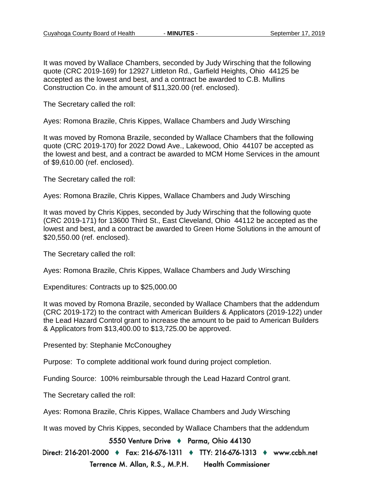It was moved by Wallace Chambers, seconded by Judy Wirsching that the following quote (CRC 2019-169) for 12927 Littleton Rd., Garfield Heights, Ohio 44125 be accepted as the lowest and best, and a contract be awarded to C.B. Mullins Construction Co. in the amount of \$11,320.00 (ref. enclosed).

The Secretary called the roll:

Ayes: Romona Brazile, Chris Kippes, Wallace Chambers and Judy Wirsching

It was moved by Romona Brazile, seconded by Wallace Chambers that the following quote (CRC 2019-170) for 2022 Dowd Ave., Lakewood, Ohio 44107 be accepted as the lowest and best, and a contract be awarded to MCM Home Services in the amount of \$9,610.00 (ref. enclosed).

The Secretary called the roll:

Ayes: Romona Brazile, Chris Kippes, Wallace Chambers and Judy Wirsching

It was moved by Chris Kippes, seconded by Judy Wirsching that the following quote (CRC 2019-171) for 13600 Third St., East Cleveland, Ohio 44112 be accepted as the lowest and best, and a contract be awarded to Green Home Solutions in the amount of \$20,550.00 (ref. enclosed).

The Secretary called the roll:

Ayes: Romona Brazile, Chris Kippes, Wallace Chambers and Judy Wirsching

Expenditures: Contracts up to \$25,000.00

It was moved by Romona Brazile, seconded by Wallace Chambers that the addendum (CRC 2019-172) to the contract with American Builders & Applicators (2019-122) under the Lead Hazard Control grant to increase the amount to be paid to American Builders & Applicators from \$13,400.00 to \$13,725.00 be approved.

Presented by: Stephanie McConoughey

Purpose: To complete additional work found during project completion.

Funding Source: 100% reimbursable through the Lead Hazard Control grant.

The Secretary called the roll:

Ayes: Romona Brazile, Chris Kippes, Wallace Chambers and Judy Wirsching

It was moved by Chris Kippes, seconded by Wallace Chambers that the addendum

5550 Venture Drive + Parma, Ohio 44130

Direct: 216-201-2000 ♦ Fax: 216-676-1311 ♦ TTY: 216-676-1313 ♦ www.ccbh.net Terrence M. Allan, R.S., M.P.H. **Health Commissioner**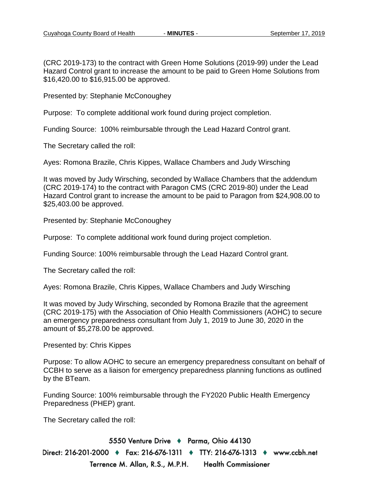(CRC 2019-173) to the contract with Green Home Solutions (2019-99) under the Lead Hazard Control grant to increase the amount to be paid to Green Home Solutions from \$16,420.00 to \$16,915.00 be approved.

Presented by: Stephanie McConoughey

Purpose: To complete additional work found during project completion.

Funding Source: 100% reimbursable through the Lead Hazard Control grant.

The Secretary called the roll:

Ayes: Romona Brazile, Chris Kippes, Wallace Chambers and Judy Wirsching

It was moved by Judy Wirsching, seconded by Wallace Chambers that the addendum (CRC 2019-174) to the contract with Paragon CMS (CRC 2019-80) under the Lead Hazard Control grant to increase the amount to be paid to Paragon from \$24,908.00 to \$25,403.00 be approved.

Presented by: Stephanie McConoughey

Purpose: To complete additional work found during project completion.

Funding Source: 100% reimbursable through the Lead Hazard Control grant.

The Secretary called the roll:

Ayes: Romona Brazile, Chris Kippes, Wallace Chambers and Judy Wirsching

It was moved by Judy Wirsching, seconded by Romona Brazile that the agreement (CRC 2019-175) with the Association of Ohio Health Commissioners (AOHC) to secure an emergency preparedness consultant from July 1, 2019 to June 30, 2020 in the amount of \$5,278.00 be approved.

Presented by: Chris Kippes

Purpose: To allow AOHC to secure an emergency preparedness consultant on behalf of CCBH to serve as a liaison for emergency preparedness planning functions as outlined by the BTeam.

Funding Source: 100% reimbursable through the FY2020 Public Health Emergency Preparedness (PHEP) grant.

The Secretary called the roll: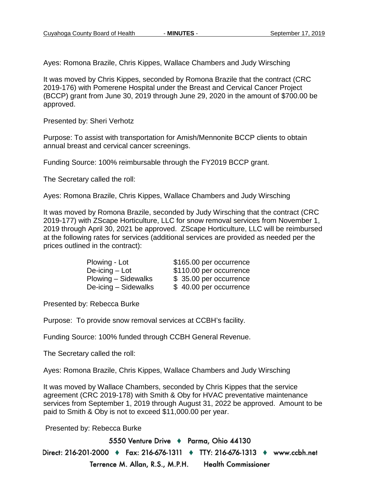Ayes: Romona Brazile, Chris Kippes, Wallace Chambers and Judy Wirsching

It was moved by Chris Kippes, seconded by Romona Brazile that the contract (CRC 2019-176) with Pomerene Hospital under the Breast and Cervical Cancer Project (BCCP) grant from June 30, 2019 through June 29, 2020 in the amount of \$700.00 be approved.

Presented by: Sheri Verhotz

Purpose: To assist with transportation for Amish/Mennonite BCCP clients to obtain annual breast and cervical cancer screenings.

Funding Source: 100% reimbursable through the FY2019 BCCP grant.

The Secretary called the roll:

Ayes: Romona Brazile, Chris Kippes, Wallace Chambers and Judy Wirsching

It was moved by Romona Brazile, seconded by Judy Wirsching that the contract (CRC 2019-177) with ZScape Horticulture, LLC for snow removal services from November 1, 2019 through April 30, 2021 be approved. ZScape Horticulture, LLC will be reimbursed at the following rates for services (additional services are provided as needed per the prices outlined in the contract):

| Plowing - Lot        | \$165.00 per occurrence |
|----------------------|-------------------------|
| De-icing $-$ Lot     | \$110.00 per occurrence |
| Plowing - Sidewalks  | \$35.00 per occurrence  |
| De-icing - Sidewalks | \$40.00 per occurrence  |

Presented by: Rebecca Burke

Purpose: To provide snow removal services at CCBH's facility.

Funding Source: 100% funded through CCBH General Revenue.

The Secretary called the roll:

Ayes: Romona Brazile, Chris Kippes, Wallace Chambers and Judy Wirsching

It was moved by Wallace Chambers, seconded by Chris Kippes that the service agreement (CRC 2019-178) with Smith & Oby for HVAC preventative maintenance services from September 1, 2019 through August 31, 2022 be approved. Amount to be paid to Smith & Oby is not to exceed \$11,000.00 per year.

Presented by: Rebecca Burke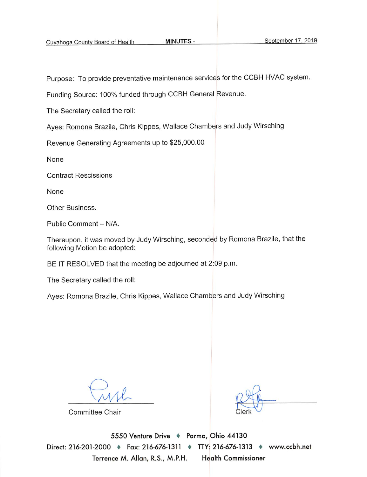Purpose: To provide preventative maintenance services for the CCBH HVAC system.

Funding Source: 100% funded through CCBH General Revenue.

The Secretary called the roll:

Ayes: Romona Brazile, Chris Kippes, Wallace Chambers and Judy Wirsching

Revenue Generating Agreements up to \$25,000.00

None

**Contract Rescissions** 

None

Other Business.

Public Comment - N/A.

Thereupon, it was moved by Judy Wirsching, seconded by Romona Brazile, that the following Motion be adopted:

BE IT RESOLVED that the meeting be adjourned at 2:09 p.m.

The Secretary called the roll:

Ayes: Romona Brazile, Chris Kippes, Wallace Chambers and Judy Wirsching

**Committee Chair**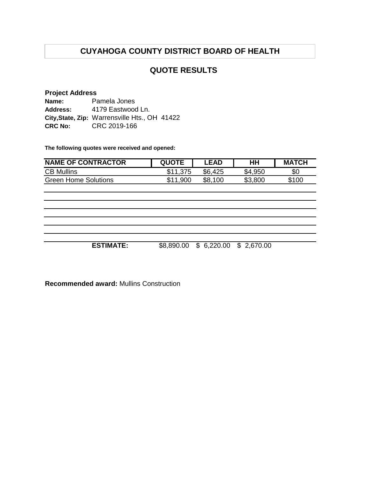## **QUOTE RESULTS**

#### **Project Address**

| Name:           | Pamela Jones                                  |  |
|-----------------|-----------------------------------------------|--|
| <b>Address:</b> | 4179 Eastwood Ln.                             |  |
|                 | City, State, Zip: Warrensville Hts., OH 41422 |  |
| <b>CRC No:</b>  | CRC 2019-166                                  |  |

**The following quotes were received and opened:**

| <b>NAME OF CONTRACTOR</b> | <b>QUOTE</b> | .EAD         | HΗ      | <b>MATCH</b> |
|---------------------------|--------------|--------------|---------|--------------|
| <b>CB Mullins</b>         |              | \$6,425      | \$4,950 | \$0          |
| Green Home Solutions      | \$11,900     | \$8.<br>.100 | \$3,800 | \$100        |

**ESTIMATE:** \$8,890.00 \$ 6,220.00 \$ 2,670.00

**Recommended award:** Mullins Construction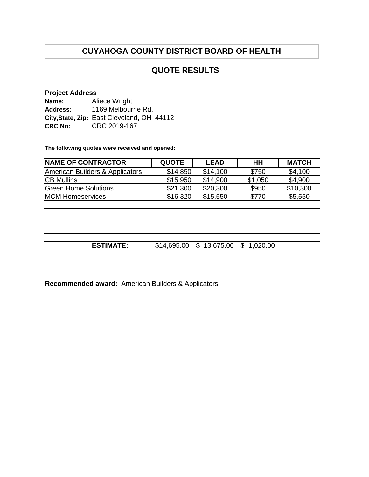## **QUOTE RESULTS**

#### **Project Address**

| Name:          | Aliece Wright                              |
|----------------|--------------------------------------------|
| Address:       | 1169 Melbourne Rd.                         |
|                | City, State, Zip: East Cleveland, OH 44112 |
| <b>CRC No:</b> | CRC 2019-167                               |

**The following quotes were received and opened:**

| <b>QUOTE</b> | <b>LEAD</b> | HН      | <b>MATCH</b> |
|--------------|-------------|---------|--------------|
| \$14,850     | \$14,100    | \$750   | \$4,100      |
| \$15,950     | \$14,900    | \$1,050 | \$4,900      |
| \$21,300     | \$20,300    | \$950   | \$10,300     |
| \$16,320     | \$15,550    | \$770   | \$5,550      |
|              |             |         |              |
|              |             |         |              |

| <b>ESTIMATE:</b> | \$14,695.00 \$ 13,675.00 \$ 1,020.00 |  |
|------------------|--------------------------------------|--|

**Recommended award:** American Builders & Applicators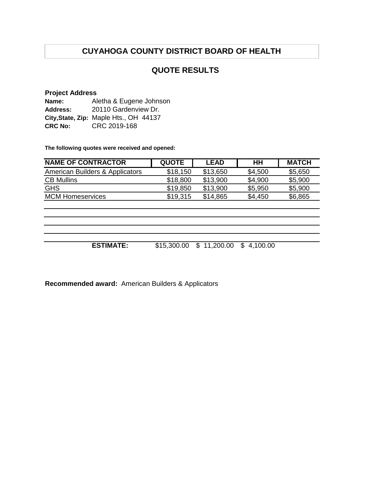## **QUOTE RESULTS**

#### **Project Address**

| Name:          | Aletha & Eugene Johnson                |  |  |  |
|----------------|----------------------------------------|--|--|--|
| Address:       | 20110 Gardenview Dr.                   |  |  |  |
|                | City, State, Zip: Maple Hts., OH 44137 |  |  |  |
| <b>CRC No:</b> | CRC 2019-168                           |  |  |  |

**The following quotes were received and opened:**

| <b>NAME OF CONTRACTOR</b>       | <b>QUOTE</b> | <b>LEAD</b> | HН      | <b>MATCH</b> |
|---------------------------------|--------------|-------------|---------|--------------|
| American Builders & Applicators | \$18,150     | \$13,650    | \$4,500 | \$5,650      |
| <b>CB Mullins</b>               | \$18,800     | \$13,900    | \$4,900 | \$5,900      |
| <b>GHS</b>                      | \$19,850     | \$13,900    | \$5,950 | \$5,900      |
| <b>MCM Homeservices</b>         | \$19.315     | \$14,865    | \$4,450 | \$6,865      |
|                                 |              |             |         |              |

**ESTIMATE:** \$15,300.00 \$ 11,200.00 \$ 4,100.00

**Recommended award:** American Builders & Applicators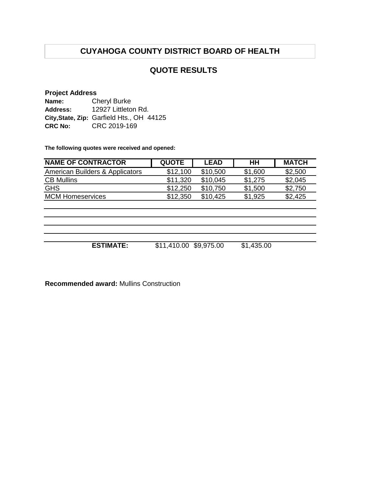## **QUOTE RESULTS**

#### **Project Address**

| Name:          | <b>Cheryl Burke</b>                       |  |  |
|----------------|-------------------------------------------|--|--|
| Address:       | 12927 Littleton Rd.                       |  |  |
|                | City, State, Zip: Garfield Hts., OH 44125 |  |  |
| <b>CRC No:</b> | CRC 2019-169                              |  |  |

**The following quotes were received and opened:**

| <b>NAME OF CONTRACTOR</b>       | <b>QUOTE</b> | LEAD     | HН      | <b>MATCH</b> |
|---------------------------------|--------------|----------|---------|--------------|
| American Builders & Applicators | \$12,100     | \$10,500 | \$1,600 | \$2,500      |
| <b>CB Mullins</b>               | \$11,320     | \$10,045 | \$1,275 | \$2,045      |
| <b>GHS</b>                      | \$12,250     | \$10,750 | \$1,500 | \$2,750      |
| <b>MCM Homeservices</b>         | \$12,350     | \$10.425 | \$1,925 | \$2,425      |
|                                 |              |          |         |              |

**ESTIMATE:** \$11,410.00 \$9,975.00 \$1,435.00

**Recommended award:** Mullins Construction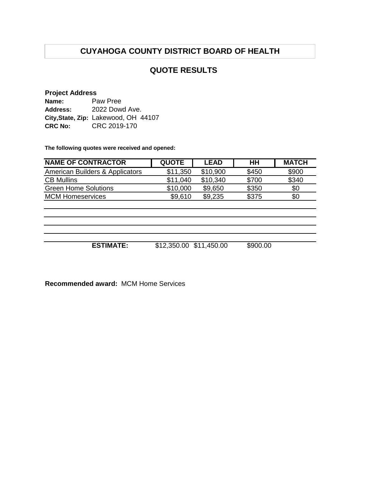## **QUOTE RESULTS**

#### **Project Address**

| Name:          | Paw Pree                             |
|----------------|--------------------------------------|
| Address:       | 2022 Dowd Ave.                       |
|                | City, State, Zip: Lakewood, OH 44107 |
| <b>CRC No:</b> | CRC 2019-170                         |

**The following quotes were received and opened:**

| <b>NAME OF CONTRACTOR</b>       | <b>QUOTE</b> | <b>LEAD</b> | HH       | <b>MATCH</b> |
|---------------------------------|--------------|-------------|----------|--------------|
| American Builders & Applicators | \$11,350     | \$10,900    | \$450    | \$900        |
| <b>CB Mullins</b>               | \$11,040     | \$10,340    | \$700    | \$340        |
| <b>Green Home Solutions</b>     | \$10,000     | \$9,650     | \$350    | \$0          |
| <b>MCM Homeservices</b>         | \$9,610      | \$9,235     | \$375    | \$0          |
|                                 |              |             |          |              |
|                                 |              |             |          |              |
|                                 |              |             |          |              |
|                                 |              |             |          |              |
|                                 |              |             |          |              |
| <b>ESTIMATE:</b>                | \$12,350.00  | \$11,450.00 | \$900.00 |              |

**Recommended award:** MCM Home Services